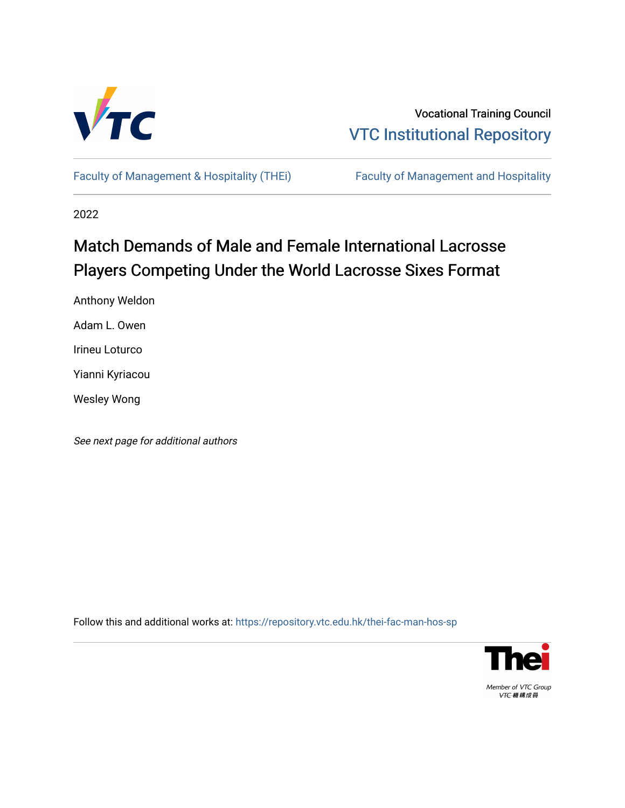

Vocational Training Council [VTC Institutional Repository](https://repository.vtc.edu.hk/) 

[Faculty of Management & Hospitality \(THEi\)](https://repository.vtc.edu.hk/thei-fac-man-hos-sp) Faculty of Management and Hospitality

2022

# Match Demands of Male and Female International Lacrosse Players Competing Under the World Lacrosse Sixes Format

Anthony Weldon

Adam L. Owen

Irineu Loturco

Yianni Kyriacou

Wesley Wong

See next page for additional authors

Follow this and additional works at: [https://repository.vtc.edu.hk/thei-fac-man-hos-sp](https://repository.vtc.edu.hk/thei-fac-man-hos-sp?utm_source=repository.vtc.edu.hk%2Fthei-fac-man-hos-sp%2F184&utm_medium=PDF&utm_campaign=PDFCoverPages)



Member of VTC Group VTC機構成員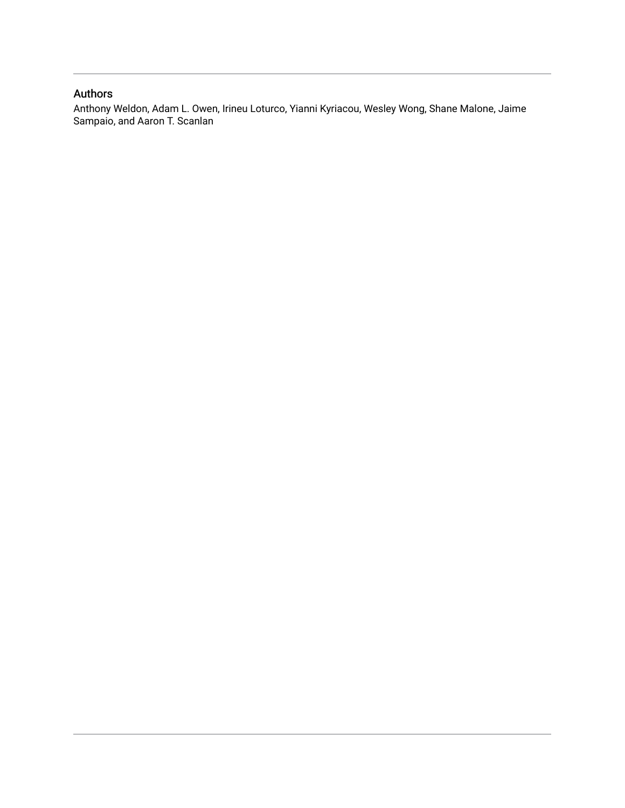# Authors

Anthony Weldon, Adam L. Owen, Irineu Loturco, Yianni Kyriacou, Wesley Wong, Shane Malone, Jaime Sampaio, and Aaron T. Scanlan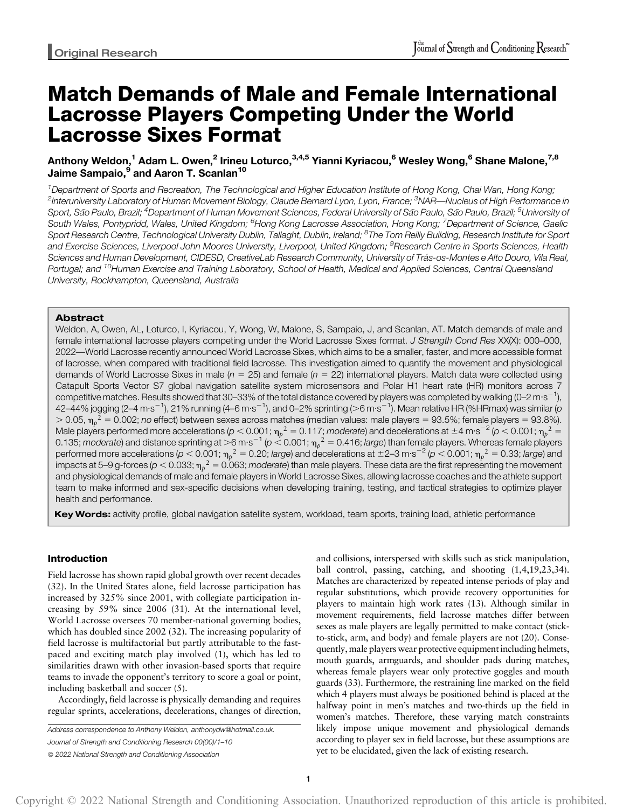# Match Demands of Male and Female International Lacrosse Players Competing Under the World Lacrosse Sixes Format

# Anthony Weldon,<sup>1</sup> Adam L. Owen,<sup>2</sup> Irineu Loturco,<sup>3,4,5</sup> Yianni Kyriacou,<sup>6</sup> Wesley Wong,<sup>6</sup> Shane Malone,<sup>7,8</sup> Jaime Sampaio,<sup>9</sup> and Aaron T. Scanlan<sup>10</sup>

<sup>1</sup>Department of Sports and Recreation, The Technological and Higher Education Institute of Hong Kong, Chai Wan, Hong Kong; <sup>2</sup>Interuniversity Laboratory of Human Movement Biology, Claude Bernard Lyon, Lyon, France; <sup>3</sup>NAR—Nucleus of High Performance in Sport, São Paulo, Brazil; <sup>4</sup>Department of Human Movement Sciences, Federal University of São Paulo, São Paulo, Brazil; <sup>5</sup>University of South Wales, Pontypridd, Wales, United Kingdom; <sup>6</sup>Hong Kong Lacrosse Association, Hong Kong; <sup>7</sup>Department of Science, Gaelic Sport Research Centre, Technological University Dublin, Tallaght, Dublin, Ireland; <sup>8</sup>The Tom Reilly Building, Research Institute for Sport and Exercise Sciences, Liverpool John Moores University, Liverpool, United Kingdom; <sup>9</sup>Research Centre in Sports Sciences, Health Sciences and Human Development, CIDESD, CreativeLab Research Community, University of Trás-os-Montes e Alto Douro, Vila Real, Portugal; and <sup>10</sup>Human Exercise and Training Laboratory, School of Health, Medical and Applied Sciences, Central Queensland University, Rockhampton, Queensland, Australia

# Abstract

Weldon, A, Owen, AL, Loturco, I, Kyriacou, Y, Wong, W, Malone, S, Sampaio, J, and Scanlan, AT. Match demands of male and female international lacrosse players competing under the World Lacrosse Sixes format. J Strength Cond Res XX(X): 000-000, 2022—World Lacrosse recently announced World Lacrosse Sixes, which aims to be a smaller, faster, and more accessible format of lacrosse, when compared with traditional field lacrosse. This investigation aimed to quantify the movement and physiological demands of World Lacrosse Sixes in male ( $n = 25$ ) and female ( $n = 22$ ) international players. Match data were collected using Catapult Sports Vector S7 global navigation satellite system microsensors and Polar H1 heart rate (HR) monitors across 7 competitive matches. Results showed that 30–33% of the total distance covered by players was completed by walking (0–2 m·s $^{-1}$ ), 42–44% jogging (2–4 m·s $^{-1}$ ), 21% running (4–6 m·s $^{-1}$ ), and 0–2% sprinting (>6 m·s $^{-1}$ ). Mean relative HR (%HRmax) was similar (p  $>$  0.05,  $\eta_p^{\;\;\;\;\;\;\;\;2}=$  0.002; no effect) between sexes across matches (median values: male players = 93.5%; female players = 93.8%). Male players performed more accelerations ( $p < 0.001$ ;  $\eta_p^2 = 0.117$ ; moderate) and decelerations at  $\pm$ 4 m·s $^{-2}$  ( $p < 0.001$ ;  $\eta_p^2 =$ 0.135; *moderate*) and distance sprinting at  $>$ 6 m·s $^{-1}$  ( $\rm{\rho}$   $<$  0.001;  $\eta_p$   $^2$  = 0.416; *large*) than female players. Whereas female players performed more accelerations (p  $<$  0.001;  $\eta_p$ <sup>2</sup> = 0.20; large) and decelerations at ±2–3 m·s<sup>–2</sup> (p  $<$  0.001;  $\eta_p$ <sup>2</sup> = 0.33; large) and impacts at 5–9 g-forces ( $\rho$   $<$  0.033;  $\eta_\rho$   $^2$  = 0.063; *moderate*) than male players. These data are the first representing the movement and physiological demands of male and female players in World Lacrosse Sixes, allowing lacrosse coaches and the athlete support team to make informed and sex-specific decisions when developing training, testing, and tactical strategies to optimize player health and performance.

Key Words: activity profile, global navigation satellite system, workload, team sports, training load, athletic performance

# Introduction

Field lacrosse has shown rapid global growth over recent decades (32). In the United States alone, field lacrosse participation has increased by 325% since 2001, with collegiate participation increasing by 59% since 2006 (31). At the international level, World Lacrosse oversees 70 member-national governing bodies, which has doubled since 2002 (32). The increasing popularity of field lacrosse is multifactorial but partly attributable to the fastpaced and exciting match play involved (1), which has led to similarities drawn with other invasion-based sports that require teams to invade the opponent's territory to score a goal or point, including basketball and soccer (5).

Accordingly, field lacrosse is physically demanding and requires regular sprints, accelerations, decelerations, changes of direction,

Address correspondence to Anthony Weldon, [anthonydw@hotmail.co.uk](mailto:anthonydw@hotmail.co.uk). Journal of Strength and Conditioning Research 00(00)/1–10  $©$  2022 National Strength and Conditioning Association

and collisions, interspersed with skills such as stick manipulation, ball control, passing, catching, and shooting (1,4,19,23,34). Matches are characterized by repeated intense periods of play and regular substitutions, which provide recovery opportunities for players to maintain high work rates (13). Although similar in movement requirements, field lacrosse matches differ between sexes as male players are legally permitted to make contact (stickto-stick, arm, and body) and female players are not (20). Consequently, male players wear protective equipment including helmets, mouth guards, armguards, and shoulder pads during matches, whereas female players wear only protective goggles and mouth guards (33). Furthermore, the restraining line marked on the field which 4 players must always be positioned behind is placed at the halfway point in men's matches and two-thirds up the field in women's matches. Therefore, these varying match constraints likely impose unique movement and physiological demands according to player sex in field lacrosse, but these assumptions are yet to be elucidated, given the lack of existing research.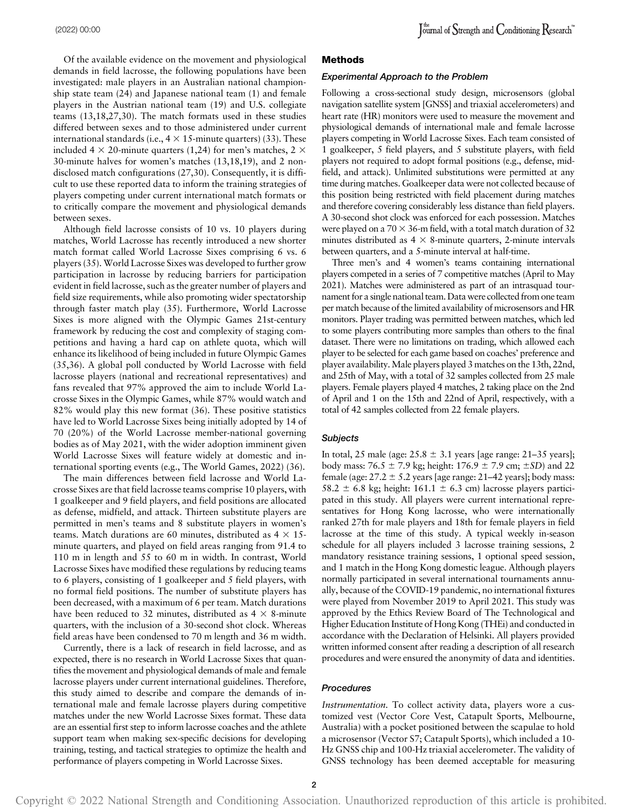Of the available evidence on the movement and physiological demands in field lacrosse, the following populations have been investigated: male players in an Australian national championship state team (24) and Japanese national team (1) and female players in the Austrian national team (19) and U.S. collegiate teams (13,18,27,30). The match formats used in these studies differed between sexes and to those administered under current international standards (i.e.,  $4 \times 15$ -minute quarters) (33). These included 4  $\times$  20-minute quarters (1,24) for men's matches, 2  $\times$ 30-minute halves for women's matches (13,18,19), and 2 nondisclosed match configurations (27,30). Consequently, it is difficult to use these reported data to inform the training strategies of players competing under current international match formats or to critically compare the movement and physiological demands between sexes.

Although field lacrosse consists of 10 vs. 10 players during matches, World Lacrosse has recently introduced a new shorter match format called World Lacrosse Sixes comprising 6 vs. 6 players (35). World Lacrosse Sixes was developed to further grow participation in lacrosse by reducing barriers for participation evident in field lacrosse, such as the greater number of players and field size requirements, while also promoting wider spectatorship through faster match play (35). Furthermore, World Lacrosse Sixes is more aligned with the Olympic Games 21st-century framework by reducing the cost and complexity of staging competitions and having a hard cap on athlete quota, which will enhance its likelihood of being included in future Olympic Games (35,36). A global poll conducted by World Lacrosse with field lacrosse players (national and recreational representatives) and fans revealed that 97% approved the aim to include World Lacrosse Sixes in the Olympic Games, while 87% would watch and 82% would play this new format (36). These positive statistics have led to World Lacrosse Sixes being initially adopted by 14 of 70 (20%) of the World Lacrosse member-national governing bodies as of May 2021, with the wider adoption imminent given World Lacrosse Sixes will feature widely at domestic and international sporting events (e.g., The World Games, 2022) (36).

The main differences between field lacrosse and World Lacrosse Sixes are that field lacrosse teams comprise 10 players, with 1 goalkeeper and 9 field players, and field positions are allocated as defense, midfield, and attack. Thirteen substitute players are permitted in men's teams and 8 substitute players in women's teams. Match durations are 60 minutes, distributed as  $4 \times 15$ minute quarters, and played on field areas ranging from 91.4 to 110 m in length and 55 to 60 m in width. In contrast, World Lacrosse Sixes have modified these regulations by reducing teams to 6 players, consisting of 1 goalkeeper and 5 field players, with no formal field positions. The number of substitute players has been decreased, with a maximum of 6 per team. Match durations have been reduced to 32 minutes, distributed as  $4 \times 8$ -minute quarters, with the inclusion of a 30-second shot clock. Whereas field areas have been condensed to 70 m length and 36 m width.

Currently, there is a lack of research in field lacrosse, and as expected, there is no research in World Lacrosse Sixes that quantifies the movement and physiological demands of male and female lacrosse players under current international guidelines. Therefore, this study aimed to describe and compare the demands of international male and female lacrosse players during competitive matches under the new World Lacrosse Sixes format. These data are an essential first step to inform lacrosse coaches and the athlete support team when making sex-specific decisions for developing training, testing, and tactical strategies to optimize the health and performance of players competing in World Lacrosse Sixes.

#### Methods

#### Experimental Approach to the Problem

Following a cross-sectional study design, microsensors (global navigation satellite system [GNSS] and triaxial accelerometers) and heart rate (HR) monitors were used to measure the movement and physiological demands of international male and female lacrosse players competing in World Lacrosse Sixes. Each team consisted of 1 goalkeeper, 5 field players, and 5 substitute players, with field players not required to adopt formal positions (e.g., defense, midfield, and attack). Unlimited substitutions were permitted at any time during matches. Goalkeeper data were not collected because of this position being restricted with field placement during matches and therefore covering considerably less distance than field players. A 30-second shot clock was enforced for each possession. Matches were played on a  $70 \times 36$ -m field, with a total match duration of 32 minutes distributed as  $4 \times 8$ -minute quarters, 2-minute intervals between quarters, and a 5-minute interval at half-time.

Three men's and 4 women's teams containing international players competed in a series of 7 competitive matches (April to May 2021). Matches were administered as part of an intrasquad tournament for a single national team. Data were collected from one team per match because of the limited availability of microsensors and HR monitors. Player trading was permitted between matches, which led to some players contributing more samples than others to the final dataset. There were no limitations on trading, which allowed each player to be selected for each game based on coaches' preference and player availability.Male players played 3 matches on the 13th, 22nd, and 25th of May, with a total of 32 samples collected from 25 male players. Female players played 4 matches, 2 taking place on the 2nd of April and 1 on the 15th and 22nd of April, respectively, with a total of 42 samples collected from 22 female players.

#### **Subjects**

In total, 25 male (age:  $25.8 \pm 3.1$  years [age range:  $21-35$  years]; body mass:  $76.5 \pm 7.9$  kg; height:  $176.9 \pm 7.9$  cm;  $\pm SD$ ) and 22 female (age:  $27.2 \pm 5.2$  years [age range:  $21-42$  years]; body mass: 58.2  $\pm$  6.8 kg; height: 161.1  $\pm$  6.3 cm) lacrosse players participated in this study. All players were current international representatives for Hong Kong lacrosse, who were internationally ranked 27th for male players and 18th for female players in field lacrosse at the time of this study. A typical weekly in-season schedule for all players included 3 lacrosse training sessions, 2 mandatory resistance training sessions, 1 optional speed session, and 1 match in the Hong Kong domestic league. Although players normally participated in several international tournaments annually, because of the COVID-19 pandemic, no international fixtures were played from November 2019 to April 2021. This study was approved by the Ethics Review Board of The Technological and Higher Education Institute of Hong Kong (THEi) and conducted in accordance with the Declaration of Helsinki. All players provided written informed consent after reading a description of all research procedures and were ensured the anonymity of data and identities.

## Procedures

Instrumentation. To collect activity data, players wore a customized vest (Vector Core Vest, Catapult Sports, Melbourne, Australia) with a pocket positioned between the scapulae to hold a microsensor (Vector S7; Catapult Sports), which included a 10- Hz GNSS chip and 100-Hz triaxial accelerometer. The validity of GNSS technology has been deemed acceptable for measuring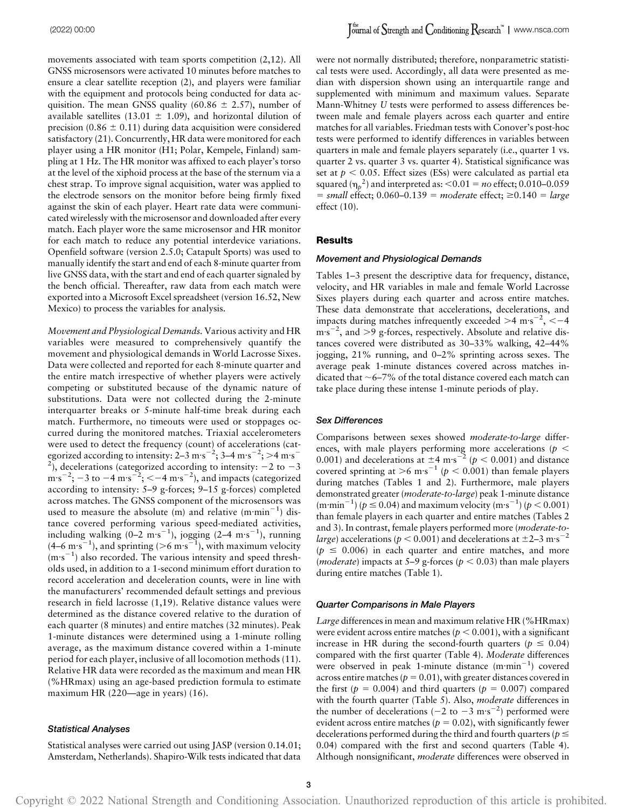movements associated with team sports competition  $(2,12)$ . All GNSS microsensors were activated 10 minutes before matches to ensure a clear satellite reception (2), and players were familiar with the equipment and protocols being conducted for data acquisition. The mean GNSS quality (60.86  $\pm$  2.57), number of available satellites (13.01  $\pm$  1.09), and horizontal dilution of precision (0.86  $\pm$  0.11) during data acquisition were considered satisfactory (21). Concurrently, HR data were monitored for each player using a HR monitor (H1; Polar, Kempele, Finland) sampling at 1 Hz. The HR monitor was affixed to each player's torso at the level of the xiphoid process at the base of the sternum via a chest strap. To improve signal acquisition, water was applied to the electrode sensors on the monitor before being firmly fixed against the skin of each player. Heart rate data were communicated wirelessly with the microsensor and downloaded after every match. Each player wore the same microsensor and HR monitor for each match to reduce any potential interdevice variations. Openfield software (version 2.5.0; Catapult Sports) was used to manually identify the start and end of each 8-minute quarter from live GNSS data, with the start and end of each quarter signaled by the bench official. Thereafter, raw data from each match were exported into a Microsoft Excel spreadsheet (version 16.52, New Mexico) to process the variables for analysis.

Movement and Physiological Demands. Various activity and HR variables were measured to comprehensively quantify the movement and physiological demands in World Lacrosse Sixes. Data were collected and reported for each 8-minute quarter and the entire match irrespective of whether players were actively competing or substituted because of the dynamic nature of substitutions. Data were not collected during the 2-minute interquarter breaks or 5-minute half-time break during each match. Furthermore, no timeouts were used or stoppages occurred during the monitored matches. Triaxial accelerometers were used to detect the frequency (count) of accelerations (categorized according to intensity: 2–3 m·s<sup>-2</sup>; 3–4 m·s<sup>-2</sup>; >4 m·s<sup>-</sup> <sup>2</sup>), decelerations (categorized according to intensity:  $-2$  to  $-3$  $\text{m·s}^{-2}$ ;  $-3$  to  $-4$  m·s<sup>-2</sup>;  $<-4$  m·s<sup>-2</sup>), and impacts (categorized according to intensity: 5–9 g-forces; 9–15 g-forces) completed across matches. The GNSS component of the microsensors was used to measure the absolute (m) and relative  $(m\cdot m\cdot m^{-1})$  distance covered performing various speed-mediated activities, including walking  $(0-2 \text{ m} \cdot \text{s}^{-1})$ , jogging  $(2-4 \text{ m} \cdot \text{s}^{-1})$ , running  $(4-6 \text{ m} \cdot \text{s}^{-1})$ , and sprinting  $(>6 \text{ m} \cdot \text{s}^{-1})$ , with maximum velocity  $(m·s<sup>-1</sup>)$  also recorded. The various intensity and speed thresholds used, in addition to a 1-second minimum effort duration to record acceleration and deceleration counts, were in line with the manufacturers' recommended default settings and previous research in field lacrosse (1,19). Relative distance values were determined as the distance covered relative to the duration of each quarter (8 minutes) and entire matches (32 minutes). Peak 1-minute distances were determined using a 1-minute rolling average, as the maximum distance covered within a 1-minute period for each player, inclusive of all locomotion methods (11). Relative HR data were recorded as the maximum and mean HR (%HRmax) using an age-based prediction formula to estimate maximum HR (220—age in years) (16).

#### Statistical Analyses

Statistical analyses were carried out using JASP (version 0.14.01; Amsterdam, Netherlands). Shapiro-Wilk tests indicated that data were not normally distributed; therefore, nonparametric statistical tests were used. Accordingly, all data were presented as median with dispersion shown using an interquartile range and supplemented with minimum and maximum values. Separate Mann-Whitney U tests were performed to assess differences between male and female players across each quarter and entire matches for all variables. Friedman tests with Conover's post-hoc tests were performed to identify differences in variables between quarters in male and female players separately (i.e., quarter 1 vs. quarter 2 vs. quarter 3 vs. quarter 4). Statistical significance was set at  $p < 0.05$ . Effect sizes (ESs) were calculated as partial eta squared ( $\eta_p^2$ ) and interpreted as: <0.01 = no effect; 0.010–0.059  $= small$  effect; 0.060–0.139  $=$  moderate effect;  $\geq 0.140$   $= large$ effect (10).

# Results

## Movement and Physiological Demands

Tables 1–3 present the descriptive data for frequency, distance, velocity, and HR variables in male and female World Lacrosse Sixes players during each quarter and across entire matches. These data demonstrate that accelerations, decelerations, and impacts during matches infrequently exceeded  $>4$  m·s<sup>-2</sup>, <-4  $\text{m·s}^{-2}$ , and  $>9$  g-forces, respectively. Absolute and relative distances covered were distributed as 30–33% walking, 42–44% jogging, 21% running, and 0–2% sprinting across sexes. The average peak 1-minute distances covered across matches indicated that  $\sim$  6–7% of the total distance covered each match can take place during these intense 1-minute periods of play.

#### Sex Differences

Comparisons between sexes showed moderate-to-large differences, with male players performing more accelerations ( $p <$ 0.001) and decelerations at  $\pm 4$  m·s<sup>-2</sup> ( $p < 0.001$ ) and distance covered sprinting at  $>$ 6 m·s<sup>-1</sup> ( $p$  < 0.001) than female players during matches (Tables 1 and 2). Furthermore, male players demonstrated greater (moderate-to-large) peak 1-minute distance (m·min<sup>-1</sup>) ( $p \le 0.04$ ) and maximum velocity (m·s<sup>-1</sup>) ( $p < 0.001$ ) than female players in each quarter and entire matches (Tables 2 and 3). In contrast, female players performed more (moderate-to*large*) accelerations ( $p < 0.001$ ) and decelerations at  $\pm 2-3$  m·s<sup>-2</sup>  $(p \le 0.006)$  in each quarter and entire matches, and more (*moderate*) impacts at 5–9 g-forces ( $p < 0.03$ ) than male players during entire matches (Table 1).

#### Quarter Comparisons in Male Players

Large differences in mean and maximum relative HR (%HRmax) were evident across entire matches ( $p < 0.001$ ), with a significant increase in HR during the second-fourth quarters ( $p \le 0.04$ ) compared with the first quarter (Table 4). Moderate differences were observed in peak 1-minute distance  $(m \cdot min^{-1})$  covered across entire matches ( $p = 0.01$ ), with greater distances covered in the first ( $p = 0.004$ ) and third quarters ( $p = 0.007$ ) compared with the fourth quarter (Table 5). Also, moderate differences in the number of decelerations ( $-2$  to  $-3$  m·s<sup> $-2$ </sup>) performed were evident across entire matches ( $p = 0.02$ ), with significantly fewer decelerations performed during the third and fourth quarters ( $p \le$ 0.04) compared with the first and second quarters (Table 4). Although nonsignificant, moderate differences were observed in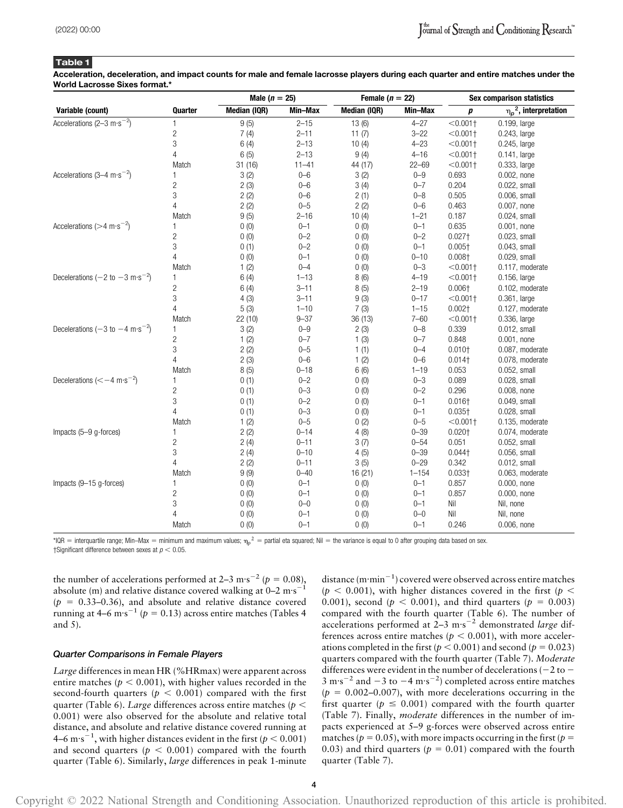Acceleration, deceleration, and impact counts for male and female lacrosse players during each quarter and entire matches under the World Lacrosse Sixes format.\*

|                                                                   |                | Male ( $n = 25$ ) |           | Female ( $n = 22$ ) |           | <b>Sex comparison statistics</b> |                             |  |
|-------------------------------------------------------------------|----------------|-------------------|-----------|---------------------|-----------|----------------------------------|-----------------------------|--|
| Variable (count)                                                  | Quarter        | Median (IQR)      | Min-Max   | Median (IQR)        | Min-Max   | р                                | $\eta_p^2$ , interpretation |  |
| Accelerations (2-3 m·s <sup>-2</sup> )                            | 1              | 9(5)              | $2 - 15$  | 13(6)               | $4 - 27$  | $< 0.001 +$                      | 0.199, large                |  |
|                                                                   | $\overline{c}$ | 7(4)              | $2 - 11$  | 11(7)               | $3 - 22$  | $< 0.001$ +                      | 0.243, large                |  |
|                                                                   | 3              | 6(4)              | $2 - 13$  | 10(4)               | $4 - 23$  | $< 0.001$ +                      | 0.245, large                |  |
|                                                                   | 4              | 6(5)              | $2 - 13$  | 9(4)                | $4 - 16$  | $< 0.001$ +                      | 0.141, large                |  |
|                                                                   | Match          | 31(16)            | $11 - 41$ | 44 (17)             | $22 - 69$ | < 0.001                          | 0.333, large                |  |
| Accelerations (3-4 m·s <sup>-2</sup> )                            | 1              | 3(2)              | $0 - 6$   | 3(2)                | $0 - 9$   | 0.693                            | 0.002, none                 |  |
|                                                                   | $\overline{c}$ | 2(3)              | $0 - 6$   | 3(4)                | $0 - 7$   | 0.204                            | 0.022, small                |  |
|                                                                   | 3              | 2(2)              | $0 - 6$   | 2(1)                | $0 - 8$   | 0.505                            | 0.006, small                |  |
|                                                                   | 4              | 2(2)              | $0 - 5$   | 2(2)                | $0 - 6$   | 0.463                            | 0.007, none                 |  |
|                                                                   | Match          | 9(5)              | $2 - 16$  | 10(4)               | $1 - 21$  | 0.187                            | $0.024$ , small             |  |
| Accelerations ( $>4 \text{ m} \cdot \text{s}^{-2}$ )              | 1              | 0(0)              | $0 - 1$   | 0(0)                | $0 - 1$   | 0.635                            | $0.001$ , none              |  |
|                                                                   | $\overline{c}$ | 0(0)              | $0 - 2$   | 0(0)                | $0 - 2$   | $0.027+$                         | 0.023, small                |  |
|                                                                   | 3              | 0(1)              | $0 - 2$   | 0(0)                | $0 - 1$   | $0.005+$                         | 0.043, small                |  |
|                                                                   | 4              | 0(0)              | $0 - 1$   | 0(0)                | $0 - 10$  | 0.008 <sub>†</sub>               | 0.029, small                |  |
|                                                                   | Match          | 1(2)              | $0 - 4$   | 0(0)                | $0 - 3$   | $< 0.001$ +                      | 0.117, moderate             |  |
| Decelerations $(-2 \text{ to } -3 \text{ m} \cdot \text{s}^{-2})$ | 1              | 6(4)              | $1 - 13$  | 8(6)                | $4 - 19$  | < 0.001                          | 0.156, large                |  |
|                                                                   | $\overline{c}$ | 6(4)              | $3 - 11$  | 8(5)                | $2 - 19$  | 0.006 <sub>†</sub>               | 0.102, moderate             |  |
|                                                                   | 3              | 4(3)              | $3 - 11$  | 9(3)                | $0 - 17$  | < 0.001                          | $0.361$ , large             |  |
|                                                                   | $\overline{4}$ | 5(3)              | $1 - 10$  | 7(3)                | $1 - 15$  | 0.002 <sub>1</sub>               | 0.127, moderate             |  |
|                                                                   | Match          | 22 (10)           | $9 - 37$  | 36 (13)             | $7 - 60$  | $< 0.001$ +                      | 0.336, large                |  |
| Decelerations $(-3 \text{ to } -4 \text{ m} \cdot \text{s}^{-2})$ | 1              | 3(2)              | $0 - 9$   | 2(3)                | $0 - 8$   | 0.339                            | 0.012, small                |  |
|                                                                   | $\overline{c}$ | 1(2)              | $0 - 7$   | 1(3)                | $0 - 7$   | 0.848                            | $0.001$ , none              |  |
|                                                                   | 3              | 2(2)              | $0 - 5$   | 1(1)                | $0 - 4$   | $0.010+$                         | 0.087, moderate             |  |
|                                                                   | 4              | 2(3)              | $0 - 6$   | 1(2)                | $0 - 6$   | $0.014$ <sup>+</sup>             | 0.078, moderate             |  |
|                                                                   | Match          | 8(5)              | $0 - 18$  | 6(6)                | $1 - 19$  | 0.053                            | 0.052, small                |  |
| Decelerations $(< -4 \text{ m} \cdot \text{s}^{-2})$              | 1              | 0(1)              | $0 - 2$   | 0(0)                | $0 - 3$   | 0.089                            | 0.028, small                |  |
|                                                                   | $\overline{c}$ | 0(1)              | $0 - 3$   | 0(0)                | $0 - 2$   | 0.296                            | 0.008, none                 |  |
|                                                                   | 3              | 0(1)              | $0 - 2$   | 0(0)                | $0 - 1$   | $0.016\dagger$                   | 0.049, small                |  |
|                                                                   | 4              | 0(1)              | $0 - 3$   | 0(0)                | $0 - 1$   | $0.035 +$                        | 0.028, small                |  |
|                                                                   | Match          | 1(2)              | $0 - 5$   | 0(2)                | $0 - 5$   | < 0.001                          | 0.135, moderate             |  |
| Impacts (5-9 g-forces)                                            | 1              | 2(2)              | $0 - 14$  | 4(8)                | $0 - 39$  | 0.020 <sub>†</sub>               | 0.074, moderate             |  |
|                                                                   | $\overline{c}$ | 2(4)              | $0 - 11$  | 3(7)                | $0 - 54$  | 0.051                            | 0.052, small                |  |
|                                                                   | 3              | 2(4)              | $0 - 10$  | 4(5)                | $0 - 39$  | $0.044$ +                        | 0.056, small                |  |
|                                                                   | 4              | 2(2)              | $0 - 11$  | 3(5)                | $0 - 29$  | 0.342                            | $0.012$ , small             |  |
|                                                                   | Match          | 9(9)              | $0 - 40$  | 16(21)              | $1 - 154$ | $0.033 +$                        | 0.063, moderate             |  |
| Impacts (9-15 g-forces)                                           | 1              | 0(0)              | $0 - 1$   | 0(0)                | $0 - 1$   | 0.857                            | 0.000, none                 |  |
|                                                                   | $\overline{c}$ | 0(0)              | $0 - 1$   | 0(0)                | $0 - 1$   | 0.857                            | 0.000, none                 |  |
|                                                                   | 3              | 0(0)              | $0 - 0$   | 0(0)                | $0 - 1$   | Nil                              | Nil, none                   |  |
|                                                                   | $\overline{4}$ | 0(0)              | $0 - 1$   | 0(0)                | $0 - 0$   | Nil                              | Nil, none                   |  |
|                                                                   | Match          | 0(0)              | $0 - 1$   | 0(0)                | $0 - 1$   | 0.246                            | 0.006, none                 |  |

\*IQR = interquartile range; Min–Max = minimum and maximum values;  $\eta_\rho{}^2=$  partial eta squared; Nil = the variance is equal to 0 after grouping data based on sex. †Significant difference between sexes at  $p < 0.05$ .

the number of accelerations performed at 2–3 m·s<sup>-2</sup> ( $p = 0.08$ ), absolute (m) and relative distance covered walking at  $0-2$  m·s<sup>-1</sup>  $(p = 0.33-0.36)$ , and absolute and relative distance covered running at 4–6 m·s<sup>-1</sup> ( $p = 0.13$ ) across entire matches (Tables 4) and 5).

#### Quarter Comparisons in Female Players

Large differences in mean HR (%HRmax) were apparent across entire matches ( $p < 0.001$ ), with higher values recorded in the second-fourth quarters ( $p < 0.001$ ) compared with the first quarter (Table 6). Large differences across entire matches ( $p <$ 0.001) were also observed for the absolute and relative total distance, and absolute and relative distance covered running at 4–6 m·s<sup>-1</sup>, with higher distances evident in the first ( $p < 0.001$ ) and second quarters ( $p < 0.001$ ) compared with the fourth quarter (Table 6). Similarly, *large* differences in peak 1-minute

distance  $(\text{m}\cdot \text{min}^{-1})$  covered were observed across entire matches  $(p < 0.001)$ , with higher distances covered in the first (p < 0.001), second ( $p < 0.001$ ), and third quarters ( $p = 0.003$ ) compared with the fourth quarter (Table 6). The number of accelerations performed at  $2-3$  m·s<sup>-2</sup> demonstrated *large* differences across entire matches ( $p < 0.001$ ), with more accelerations completed in the first ( $p < 0.001$ ) and second ( $p = 0.023$ ) quarters compared with the fourth quarter (Table 7). Moderate differences were evident in the number of decelerations ( $-2$  to  $3 \text{ m} \cdot \text{s}^{-2}$  and  $-3 \text{ to } -4 \text{ m} \cdot \text{s}^{-2}$ ) completed across entire matches  $(p = 0.002-0.007)$ , with more decelerations occurring in the first quarter ( $p \le 0.001$ ) compared with the fourth quarter (Table 7). Finally, moderate differences in the number of impacts experienced at 5–9 g-forces were observed across entire matches ( $p = 0.05$ ), with more impacts occurring in the first ( $p =$ 0.03) and third quarters ( $p = 0.01$ ) compared with the fourth quarter (Table 7).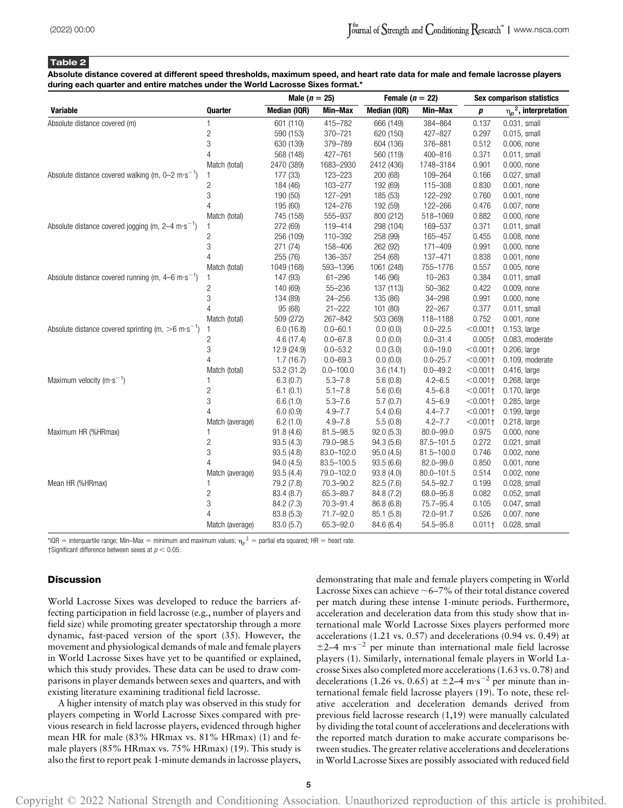Absolute distance covered at different speed thresholds, maximum speed, and heart rate data for male and female lacrosse players during each quarter and entire matches under the World Lacrosse Sixes format.\*

|                                                                              |                 | Male $(n = 25)$ |               | Female ( $n = 22$ ) |                | <b>Sex comparison statistics</b> |                             |  |
|------------------------------------------------------------------------------|-----------------|-----------------|---------------|---------------------|----------------|----------------------------------|-----------------------------|--|
| <b>Variable</b>                                                              | Quarter         | Median (IQR)    | Min-Max       | Median (IQR)        | Min-Max        | $\boldsymbol{p}$                 | $\eta_p^2$ , interpretation |  |
| Absolute distance covered (m)                                                | 1               | 601 (110)       | 415-782       | 666 (149)           | 384-864        | 0.137                            | $0.031$ , small             |  |
|                                                                              | $\sqrt{2}$      | 590 (153)       | 370-721       | 620 (150)           | 427-827        | 0.297                            | 0.015, small                |  |
|                                                                              | 3               | 630 (139)       | 379-789       | 604 (136)           | 376-881        | 0.512                            | 0.006, none                 |  |
|                                                                              | $\overline{4}$  | 568 (148)       | 427-761       | 560 (119)           | 400-816        | 0.371                            | $0.011$ , small             |  |
|                                                                              | Match (total)   | 2470 (389)      | 1683-2930     | 2412 (436)          | 1748-3184      | 0.901                            | 0.000, none                 |  |
| Absolute distance covered walking (m, $0-2 \text{ m} \cdot \text{s}^{-1}$ )  | 1               | 177 (33)        | 123-223       | 200 (68)            | 109-264        | 0.166                            | $0.027$ , small             |  |
|                                                                              | $\overline{c}$  | 184 (46)        | 103-277       | 192 (69)            | 115-308        | 0.830                            | $0.001$ , none              |  |
|                                                                              | $\sqrt{3}$      | 190 (50)        | 127-291       | 185 (53)            | 122-292        | 0.760                            | $0.001$ , none              |  |
|                                                                              | $\overline{4}$  | 195 (60)        | 124-276       | 192 (59)            | 122-266        | 0.476                            | 0.007, none                 |  |
|                                                                              | Match (total)   | 745 (158)       | 555-937       | 800 (212)           | 518-1069       | 0.882                            | $0.000$ , none              |  |
| Absolute distance covered jogging (m, $2-4 \text{ m} \cdot \text{s}^{-1}$ )  | 1               | 272 (69)        | 119-414       | 298 (104)           | 169-537        | 0.371                            | $0.011$ , small             |  |
|                                                                              | $\overline{c}$  | 256 (109)       | 110-392       | 258 (99)            | 165-457        | 0.455                            | 0.008, none                 |  |
|                                                                              | $\sqrt{3}$      | 271 (74)        | 158-406       | 262 (92)            | 171-409        | 0.991                            | $0.000$ , none              |  |
|                                                                              | $\overline{4}$  | 255 (76)        | 136-357       | 254 (68)            | 137-471        | 0.838                            | $0.001$ , none              |  |
|                                                                              | Match (total)   | 1049 (168)      | 593-1396      | 1061 (248)          | 755-1776       | 0.557                            | 0.005, none                 |  |
| Absolute distance covered running (m, $4-6 \text{ m} \cdot \text{s}^{-1}$ )  | 1               | 147 (93)        | $61 - 296$    | 146 (96)            | $10 - 263$     | 0.384                            | $0.011$ , small             |  |
|                                                                              | 2               | 140 (69)        | $55 - 236$    | 137 (113)           | $50 - 362$     | 0.422                            | 0.009, none                 |  |
|                                                                              | 3               | 134 (89)        | $24 - 256$    | 135 (86)            | 34-298         | 0.991                            | 0.000, none                 |  |
|                                                                              | $\overline{4}$  | 95 (68)         | $21 - 222$    | 101(80)             | $22 - 267$     | 0.377                            | $0.011$ , small             |  |
|                                                                              | Match (total)   | 509 (272)       | 267-842       | 503 (369)           | 118-1188       | 0.752                            | $0.001$ , none              |  |
| Absolute distance covered sprinting (m, $>6 \text{ m} \cdot \text{s}^{-1}$ ) | 1               | 6.0(16.8)       | $0.0 - 60.1$  | 0.0(0.0)            | $0.0 - 22.5$   | $< 0.001 +$                      | 0.153, large                |  |
|                                                                              | $\mathbf{2}$    | 4.6(17.4)       | $0.0 - 67.8$  | 0.0(0.0)            | $0.0 - 31.4$   | $0.005+$                         | 0.083, moderate             |  |
|                                                                              | $\mathfrak{S}$  | 12.9 (24.9)     | $0.0 - 53.2$  | 0.0(3.0)            | $0.0 - 19.0$   | $< 0.001$ +                      | 0.206, large                |  |
|                                                                              | $\overline{4}$  | 1.7(16.7)       | $0.0 - 69.3$  | 0.0(0.0)            | $0.0 - 25.7$   | $< 0.001$ +                      | 0.109, moderate             |  |
|                                                                              | Match (total)   | 53.2 (31.2)     | $0.0 - 100.0$ | 3.6(14.1)           | $0.0 - 49.2$   | $< 0.001$ +                      | 0.416, large                |  |
| Maximum velocity (m $\cdot$ s <sup>-1</sup> )                                | 1               | 6.3(0.7)        | $5.3 - 7.8$   | 5.6(0.8)            | $4.2 - 6.5$    | $< 0.001$ +                      | 0.268, large                |  |
|                                                                              | $\sqrt{2}$      | 6.1(0.1)        | $5.1 - 7.8$   | 5.6(0.6)            | $4.5 - 6.8$    | $< 0.001$ +                      | 0.170, large                |  |
|                                                                              | 3               | 6.6(1.0)        | $5.3 - 7.6$   | 5.7(0.7)            | $4.5 - 6.9$    | $< 0.001$ +                      | 0.285, large                |  |
|                                                                              | $\overline{4}$  | 6.0(0.9)        | $4.9 - 7.7$   | 5.4(0.6)            | $4.4 - 7.7$    | $< 0.001$ +                      | 0.199, large                |  |
|                                                                              | Match (average) | 6.2(1.0)        | $4.9 - 7.8$   | 5.5(0.8)            | $4.2 - 7.7$    | $< 0.001$ +                      | 0.218, large                |  |
| Maximum HR (%HRmax)                                                          | 1               | 91.8(4.6)       | 81.5-98.5     | 92.0(5.3)           | $80.0 - 99.0$  | 0.975                            | $0.000$ , none              |  |
|                                                                              | $\sqrt{2}$      | 93.5(4.3)       | 79.0-98.5     | 94.3(5.6)           | 87.5-101.5     | 0.272                            | 0.021, small                |  |
|                                                                              | $\sqrt{3}$      | 93.5(4.8)       | 83.0-102.0    | 95.0(4.5)           | 81.5-100.0     | 0.746                            | $0.002$ , none              |  |
|                                                                              | $\overline{4}$  | 94.0(4.5)       | 83.5-100.5    | 93.5(6.6)           | 82.0-99.0      | 0.850                            | $0.001$ , none              |  |
|                                                                              | Match (average) | 93.5(4.4)       | 79.0-102.0    | 93.8 (4.0)          | $80.0 - 101.5$ | 0.514                            | 0.002, none                 |  |
| Mean HR (%HRmax)                                                             | 1               | 79.2 (7.8)      | 70.3-90.2     | 82.5 (7.6)          | 54.5-92.7      | 0.199                            | 0.028, small                |  |
|                                                                              | $\sqrt{2}$      | 83.4 (8.7)      | 65.3-89.7     | 84.8 (7.2)          | 68.0-95.8      | 0.082                            | 0.052, small                |  |
|                                                                              | 3               | 84.2 (7.3)      | 70.3-91.4     | 86.8 (6.8)          | 75.7-95.4      | 0.105                            | 0.047, small                |  |
|                                                                              | $\overline{4}$  | 83.8 (5.3)      | 71.7-92.0     | 85.1 (5.8)          | 72.0-91.7      | 0.526                            | 0.007, none                 |  |
|                                                                              | Match (average) | 83.0 (5.7)      | 65.3-92.0     | 84.6 (6.4)          | 54.5-95.8      | $0.011 +$                        | 0.028, small                |  |

\*IQR = interquartile range; Min–Max = minimum and maximum values;  $\eta_\rho{}^2=$  partial eta squared; HR = heart rate. †Significant difference between sexes at  $p < 0.05$ .

# **Discussion**

World Lacrosse Sixes was developed to reduce the barriers affecting participation in field lacrosse (e.g., number of players and field size) while promoting greater spectatorship through a more dynamic, fast-paced version of the sport (35). However, the movement and physiological demands of male and female players in World Lacrosse Sixes have yet to be quantified or explained, which this study provides. These data can be used to draw comparisons in player demands between sexes and quarters, and with existing literature examining traditional field lacrosse.

A higher intensity of match play was observed in this study for players competing in World Lacrosse Sixes compared with previous research in field lacrosse players, evidenced through higher mean HR for male (83% HRmax vs. 81% HRmax) (1) and female players (85% HRmax vs. 75% HRmax) (19). This study is also the first to report peak 1-minute demands in lacrosse players, demonstrating that male and female players competing in World Lacrosse Sixes can achieve  $\sim$  6–7% of their total distance covered per match during these intense 1-minute periods. Furthermore, acceleration and deceleration data from this study show that international male World Lacrosse Sixes players performed more accelerations (1.21 vs. 0.57) and decelerations (0.94 vs. 0.49) at  $\pm$ 2–4 m·s<sup>-2</sup> per minute than international male field lacrosse players (1). Similarly, international female players in World Lacrosse Sixes also completed more accelerations (1.63 vs. 0.78) and decelerations (1.26 vs. 0.65) at  $\pm$ 2–4 m·s<sup>-2</sup> per minute than international female field lacrosse players (19). To note, these relative acceleration and deceleration demands derived from previous field lacrosse research (1,19) were manually calculated by dividing the total count of accelerations and decelerations with the reported match duration to make accurate comparisons between studies. The greater relative accelerations and decelerations in World Lacrosse Sixes are possibly associated with reduced field

Copyright © 2022 National Strength and Conditioning Association. Unauthorized reproduction of this article is prohibited.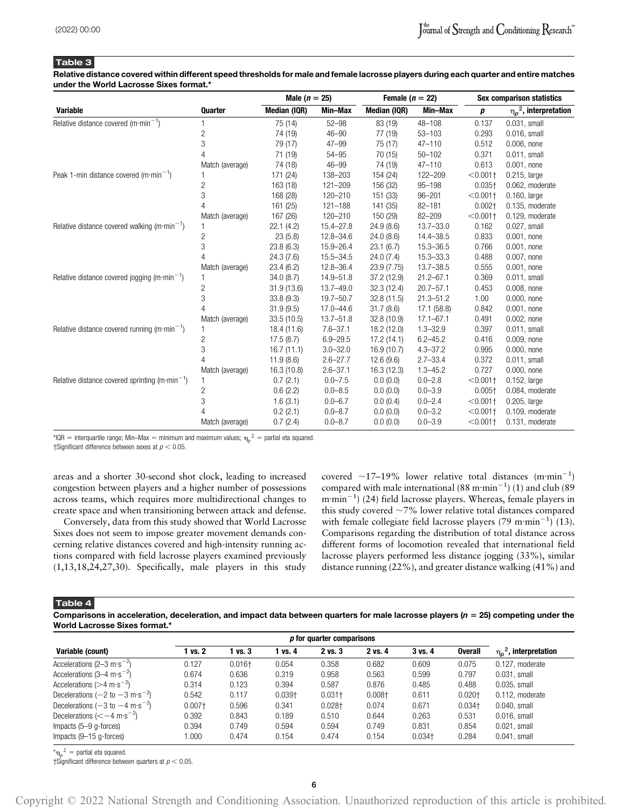Relative distance covered within different speed thresholds for male and female lacrosse players during each quarter and entire matches under the World Lacrosse Sixes format.\*

|                                                            |                 | Male $(n = 25)$ |               | Female $(n = 22)$ |               | <b>Sex comparison statistics</b> |                             |  |
|------------------------------------------------------------|-----------------|-----------------|---------------|-------------------|---------------|----------------------------------|-----------------------------|--|
| <b>Variable</b>                                            | <b>Quarter</b>  | Median (IQR)    | Min-Max       | Median (IQR)      | Min-Max       | p                                | $\eta_p^2$ , interpretation |  |
| Relative distance covered $(m \cdot min^{-1})$             |                 | 75 (14)         | $52 - 98$     | 83 (19)           | $48 - 108$    | 0.137                            | 0.031, small                |  |
|                                                            | 2               | 74 (19)         | $46 - 90$     | 77 (19)           | $53 - 103$    | 0.293                            | $0.016$ , small             |  |
|                                                            | 3               | 79 (17)         | $47 - 99$     | 75 (17)           | $47 - 110$    | 0.512                            | $0.006$ , none              |  |
|                                                            | 4               | 71 (19)         | $54 - 95$     | 70 (15)           | $50 - 102$    | 0.371                            | $0.011$ , small             |  |
|                                                            | Match (average) | 74 (18)         | $46 - 99$     | 74 (19)           | $47 - 110$    | 0.613                            | $0.001$ , none              |  |
| Peak 1-min distance covered $(m \cdot min^{-1})$           |                 | 171 (24)        | 138-203       | 154 (24)          | 122-209       | $< 0.001 +$                      | $0.215$ , large             |  |
|                                                            | $\overline{c}$  | 163 (18)        | $121 - 209$   | 156 (32)          | $95 - 198$    | $0.035 +$                        | 0.062, moderate             |  |
|                                                            | 3               | 168 (28)        | 120-210       | 151 (33)          | $96 - 201$    | $< 0.001 +$                      | $0.160$ , large             |  |
|                                                            | Δ               | 161 (25)        | $121 - 188$   | 141 (35)          | $82 - 181$    | $0.002+$                         | 0.135, moderate             |  |
|                                                            | Match (average) | 167 (26)        | 120-210       | 150 (29)          | $82 - 209$    | $< 0.001 +$                      | 0.129, moderate             |  |
| Relative distance covered walking (m·min <sup>-1</sup> )   | 1               | 22.1(4.2)       | $15.4 - 27.8$ | 24.9(8.6)         | $13.7 - 33.0$ | 0.162                            | 0.027, small                |  |
|                                                            | $\overline{c}$  | 23(5.8)         | $12.8 - 34.6$ | 24.0(8.6)         | 14.4-38.5     | 0.833                            | $0.001$ , none              |  |
|                                                            | 3               | 23.8(6.3)       | $15.9 - 26.4$ | 23.1(6.7)         | 15.3-36.5     | 0.766                            | $0.001$ , none              |  |
|                                                            | 4               | 24.3(7.6)       | $15.5 - 34.5$ | 24.0(7.4)         | 15.3-33.3     | 0.488                            | 0.007, none                 |  |
|                                                            | Match (average) | 23.4(6.2)       | $12.8 - 36.4$ | 23.9 (7.75)       | $13.7 - 38.5$ | 0.555                            | 0.001, none                 |  |
| Relative distance covered jogging (m·min <sup>-1</sup> )   | 1               | 34.0(8.7)       | 14.9-51.8     | 37.2 (12.9)       | $21.2 - 67.1$ | 0.369                            | $0.011$ , small             |  |
|                                                            | 2               | 31.9(13.6)      | $13.7 - 49.0$ | 32.3(12.4)        | $20.7 - 57.1$ | 0.453                            | 0.008, none                 |  |
|                                                            | 3               | 33.8(9.3)       | $19.7 - 50.7$ | 32.8(11.5)        | $21.3 - 51.2$ | 1.00                             | $0.000$ , none              |  |
|                                                            | 4               | 31.9(9.5)       | $17.0 - 44.6$ | 31.7(8.6)         | 17.1 (58.8)   | 0.842                            | $0.001$ , none              |  |
|                                                            | Match (average) | 33.5 (10.5)     | $13.7 - 51.8$ | 32.8 (10.9)       | $17.1 - 67.1$ | 0.491                            | 0.002, none                 |  |
| Relative distance covered running (m·min <sup>-1</sup> )   |                 | 18.4 (11.6)     | $7.6 - 37.1$  | 18.2 (12.0)       | $1.3 - 32.9$  | 0.397                            | $0.011$ , small             |  |
|                                                            | 2               | 17.5(8.7)       | $6.9 - 29.5$  | 17.2 (14.1)       | $6.2 - 45.2$  | 0.416                            | 0.009, none                 |  |
|                                                            | 3               | 16.7(11.1)      | $3.0 - 32.0$  | 16.9(10.7)        | $4.3 - 37.2$  | 0.995                            | 0.000, none                 |  |
|                                                            | 4               | 11.9(8.6)       | $2.6 - 27.7$  | 12.6(9.6)         | $2.7 - 33.4$  | 0.372                            | $0.011$ , small             |  |
|                                                            | Match (average) | 16.3 (10.8)     | $2.6 - 37.1$  | 16.3 (12.3)       | $1.3 - 45.2$  | 0.727                            | $0.000$ , none              |  |
| Relative distance covered sprinting (m·min <sup>-1</sup> ) | 1               | 0.7(2.1)        | $0.0 - 7.5$   | 0.0(0.0)          | $0.0 - 2.8$   | $< 0.001 +$                      | $0.152$ , large             |  |
|                                                            | 2               | 0.6(2.2)        | $0.0 - 8.5$   | 0.0(0.0)          | $0.0 - 3.9$   | $0.005 +$                        | 0.084, moderate             |  |
|                                                            | 3               | 1.6(3.1)        | $0.0 - 6.7$   | 0.0(0.4)          | $0.0 - 2.4$   | $< 0.001 +$                      | $0.205$ , large             |  |
|                                                            |                 | 0.2(2.1)        | $0.0 - 8.7$   | 0.0(0.0)          | $0.0 - 3.2$   | $< 0.001 +$                      | 0.109, moderate             |  |
|                                                            | Match (average) | 0.7(2.4)        | $0.0 - 8.7$   | 0.0(0.0)          | $0.0 - 3.9$   | $< 0.001$ +                      | 0.131, moderate             |  |

\*IQR = interquartile range; Min–Max = minimum and maximum values;  $\eta_p{}^2$  = partial eta squared.

†Significant difference between sexes at  $p < 0.05$ .

areas and a shorter 30-second shot clock, leading to increased congestion between players and a higher number of possessions across teams, which requires more multidirectional changes to create space and when transitioning between attack and defense.

Conversely, data from this study showed that World Lacrosse Sixes does not seem to impose greater movement demands concerning relative distances covered and high-intensity running actions compared with field lacrosse players examined previously (1,13,18,24,27,30). Specifically, male players in this study

covered  $\sim$ 17–19% lower relative total distances (m·min<sup>-1</sup>) compared with male international (88 m·min<sup>-1</sup>) (1) and club (89)  $m \cdot \text{min}^{-1}$ ) (24) field lacrosse players. Whereas, female players in this study covered  $\sim$  7% lower relative total distances compared with female collegiate field lacrosse players (79 m·min<sup>-1</sup>) (13). Comparisons regarding the distribution of total distance across different forms of locomotion revealed that international field lacrosse players performed less distance jogging (33%), similar distance running (22%), and greater distance walking (41%) and

Table 4

Comparisons in acceleration, deceleration, and impact data between quarters for male lacrosse players ( $n = 25$ ) competing under the World Lacrosse Sixes format.<sup>\*</sup>

| <i>p</i> for quarter comparisons                                  |           |           |           |             |           |             |                |                                  |
|-------------------------------------------------------------------|-----------|-----------|-----------|-------------|-----------|-------------|----------------|----------------------------------|
| Variable (count)                                                  | vs. 2     | 1 vs. 3   | vs. 4     | $2$ vs. $3$ | 2 vs. 4   | $3$ vs. $4$ | <b>Overall</b> | $\eta_{\rho}^2$ , interpretation |
| Accelerations (2–3 m·s <sup>-2</sup> )                            | 0.127     | $0.016 +$ | 0.054     | 0.358       | 0.682     | 0.609       | 0.075          | 0.127, moderate                  |
| Accelerations $(3-4 \text{ m} \cdot \text{s}^{-2})$               | 0.674     | 0.636     | 0.319     | 0.958       | 0.563     | 0.599       | 0.797          | $0.031$ . small                  |
| Accelerations ( $>4 \text{ m} \cdot \text{s}^{-2}$ )              | 0.314     | 0.123     | 0.394     | 0.587       | 0.876     | 0.485       | 0.488          | $0.035$ . small                  |
| Decelerations $(-2 \text{ to } -3 \text{ m} \cdot \text{s}^{-2})$ | 0.542     | 0.117     | $0.039 +$ | $0.031 +$   | $0.008 +$ | 0.611       | $0.020 +$      | 0.112. moderate                  |
| Decelerations $(-3 \text{ to } -4 \text{ m} \cdot \text{s}^{-2})$ | $0.007 +$ | 0.596     | 0.341     | $0.028 +$   | 0.074     | 0.671       | $0.034 +$      | $0.040$ . small                  |
| Decelerations $(< -4 \text{ m} \cdot \text{s}^{-2})$              | 0.392     | 0.843     | 0.189     | 0.510       | 0.644     | 0.263       | 0.531          | $0.016$ . small                  |
| Impacts $(5-9)$ q-forces)                                         | 0.394     | 0.749     | 0.594     | 0.594       | 0.749     | 0.831       | 0.854          | $0.021$ , small                  |
| Impacts $(9-15$ g-forces)                                         | .000      | 0.474     | 0.154     | 0.474       | 0.154     | $0.034 +$   | 0.284          | $0.041$ , small                  |

 ${}^{\star} \mathsf{n}_p{}^2$  = partial eta squared.

†Significant difference between quarters at  $p < 0.05$ .

Copyright © 2022 National Strength and Conditioning Association. Unauthorized reproduction of this article is prohibited.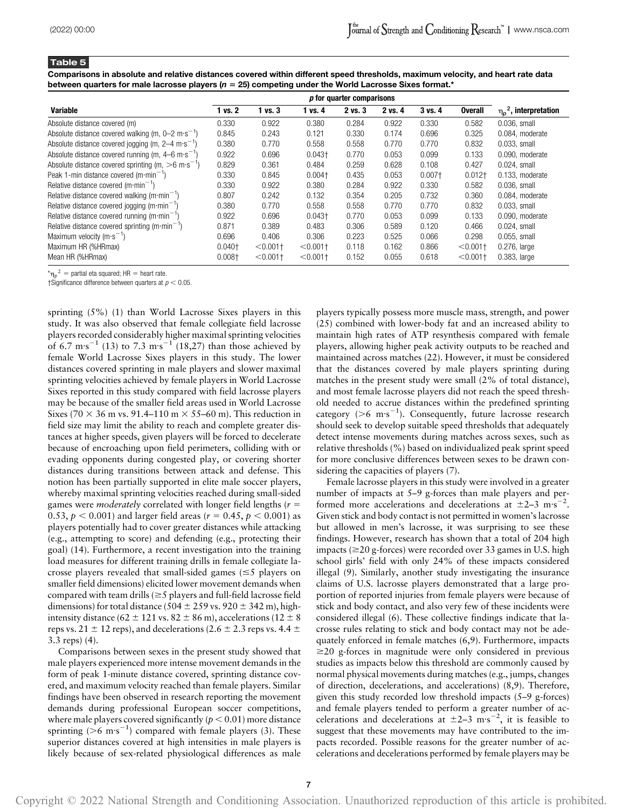Comparisons in absolute and relative distances covered within different speed thresholds, maximum velocity, and heart rate data between quarters for male lacrosse players ( $n = 25$ ) competing under the World Lacrosse Sixes format.\*

|                                                                             | p for quarter comparisons |             |             |         |         |             |                |                                  |
|-----------------------------------------------------------------------------|---------------------------|-------------|-------------|---------|---------|-------------|----------------|----------------------------------|
| <b>Variable</b>                                                             | 1 vs. 2                   | $1$ vs. $3$ | 1 vs. 4     | 2 vs. 3 | 2 vs. 4 | $3$ vs. $4$ | <b>Overall</b> | $\eta_{\rho}^2$ , interpretation |
| Absolute distance covered (m)                                               | 0.330                     | 0.922       | 0.380       | 0.284   | 0.922   | 0.330       | 0.582          | $0.036$ . small                  |
| Absolute distance covered walking (m, $0-2$ m·s <sup>-1</sup> )             | 0.845                     | 0.243       | 0.121       | 0.330   | 0.174   | 0.696       | 0.325          | 0.084, moderate                  |
| Absolute distance covered jogging (m, $2-4$ m·s <sup>-1</sup> )             | 0.380                     | 0.770       | 0.558       | 0.558   | 0.770   | 0.770       | 0.832          | $0.033$ . small                  |
| Absolute distance covered running (m, $4-6 \text{ m} \cdot \text{s}^{-1}$ ) | 0.922                     | 0.696       | $0.043 +$   | 0.770   | 0.053   | 0.099       | 0.133          | 0.090, moderate                  |
| Absolute distance covered sprinting (m, $>6$ m·s <sup>-1</sup> )            | 0.829                     | 0.361       | 0.484       | 0.259   | 0.628   | 0.108       | 0.427          | $0.024$ . small                  |
| Peak 1-min distance covered $(m \cdot min^{-1})$                            | 0.330                     | 0.845       | $0.004 +$   | 0.435   | 0.053   | $0.007 +$   | $0.012+$       | 0.133. moderate                  |
| Relative distance covered (m·min <sup>-1</sup> )                            | 0.330                     | 0.922       | 0.380       | 0.284   | 0.922   | 0.330       | 0.582          | $0.036$ , small                  |
| Relative distance covered walking (m·min <sup>-1</sup> )                    | 0.807                     | 0.242       | 0.132       | 0.354   | 0.205   | 0.732       | 0.360          | 0.084, moderate                  |
| Relative distance covered jogging (m·min <sup>-1</sup> )                    | 0.380                     | 0.770       | 0.558       | 0.558   | 0.770   | 0.770       | 0.832          | $0.033$ , small                  |
| Relative distance covered running (m·min <sup>-1</sup>                      | 0.922                     | 0.696       | $0.043 +$   | 0.770   | 0.053   | 0.099       | 0.133          | 0.090. moderate                  |
| Relative distance covered sprinting (m·min <sup>-1</sup> )                  | 0.871                     | 0.389       | 0.483       | 0.306   | 0.589   | 0.120       | 0.466          | $0.024$ , small                  |
| Maximum velocity (m $\cdot$ s <sup>-1</sup> )                               | 0.696                     | 0.406       | 0.306       | 0.223   | 0.525   | 0.066       | 0.298          | $0.055$ . small                  |
| Maximum HR (%HRmax)                                                         | $0.040 +$                 | $< 0.001 +$ | $< 0.001$ + | 0.118   | 0.162   | 0.866       | $< 0.001$ +    | 0.276, large                     |
| Mean HR (%HRmax)                                                            | $0.008+$                  | $< 0.001 +$ | $< 0.001$ + | 0.152   | 0.055   | 0.618       | $< 0.001$ †    | $0.383$ , large                  |

 $^{\star}$ n $_{p}$  $n^2$  = partial eta squared; HR = heart rate.

†Significance difference between quarters at  $p < 0.05$ .

sprinting (5%) (1) than World Lacrosse Sixes players in this study. It was also observed that female collegiate field lacrosse players recorded considerably higher maximal sprinting velocities of 6.7 m·s<sup>-1</sup> (13) to 7.3 m·s<sup>-1</sup> (18,27) than those achieved by female World Lacrosse Sixes players in this study. The lower distances covered sprinting in male players and slower maximal sprinting velocities achieved by female players in World Lacrosse Sixes reported in this study compared with field lacrosse players may be because of the smaller field areas used in World Lacrosse Sixes (70  $\times$  36 m vs. 91.4–110 m  $\times$  55–60 m). This reduction in field size may limit the ability to reach and complete greater distances at higher speeds, given players will be forced to decelerate because of encroaching upon field perimeters, colliding with or evading opponents during congested play, or covering shorter distances during transitions between attack and defense. This notion has been partially supported in elite male soccer players, whereby maximal sprinting velocities reached during small-sided games were *moderately* correlated with longer field lengths ( $r =$ 0.53,  $p < 0.001$ ) and larger field areas ( $r = 0.45$ ,  $p < 0.001$ ) as players potentially had to cover greater distances while attacking (e.g., attempting to score) and defending (e.g., protecting their goal) (14). Furthermore, a recent investigation into the training load measures for different training drills in female collegiate lacrosse players revealed that small-sided games  $(\leq 5$  players on smaller field dimensions) elicited lower movement demands when compared with team drills  $(\geq 5$  players and full-field lacrosse field dimensions) for total distance (504  $\pm$  259 vs. 920  $\pm$  342 m), highintensity distance (62  $\pm$  121 vs. 82  $\pm$  86 m), accelerations (12  $\pm$  8 reps vs. 21  $\pm$  12 reps), and decelerations (2.6  $\pm$  2.3 reps vs. 4.4  $\pm$ 3.3 reps) (4).

Comparisons between sexes in the present study showed that male players experienced more intense movement demands in the form of peak 1-minute distance covered, sprinting distance covered, and maximum velocity reached than female players. Similar findings have been observed in research reporting the movement demands during professional European soccer competitions, where male players covered significantly ( $p < 0.01$ ) more distance sprinting ( $>6$  m·s<sup>-1</sup>) compared with female players (3). These superior distances covered at high intensities in male players is likely because of sex-related physiological differences as male players typically possess more muscle mass, strength, and power (25) combined with lower-body fat and an increased ability to maintain high rates of ATP resynthesis compared with female players, allowing higher peak activity outputs to be reached and maintained across matches (22). However, it must be considered that the distances covered by male players sprinting during matches in the present study were small (2% of total distance), and most female lacrosse players did not reach the speed threshold needed to accrue distances within the predefined sprinting category ( $>6$  m·s<sup>-1</sup>). Consequently, future lacrosse research should seek to develop suitable speed thresholds that adequately detect intense movements during matches across sexes, such as relative thresholds (%) based on individualized peak sprint speed for more conclusive differences between sexes to be drawn considering the capacities of players (7).

Female lacrosse players in this study were involved in a greater number of impacts at 5–9 g-forces than male players and performed more accelerations and decelerations at  $\pm 2-3$  m·s<sup>-2</sup>. Given stick and body contact is not permitted in women's lacrosse but allowed in men's lacrosse, it was surprising to see these findings. However, research has shown that a total of 204 high impacts ( $\geq$ 20 g-forces) were recorded over 33 games in U.S. high school girls' field with only 24% of these impacts considered illegal (9). Similarly, another study investigating the insurance claims of U.S. lacrosse players demonstrated that a large proportion of reported injuries from female players were because of stick and body contact, and also very few of these incidents were considered illegal (6). These collective findings indicate that lacrosse rules relating to stick and body contact may not be adequately enforced in female matches (6,9). Furthermore, impacts  $\geq$ 20 g-forces in magnitude were only considered in previous studies as impacts below this threshold are commonly caused by normal physical movements during matches (e.g., jumps, changes of direction, decelerations, and accelerations) (8,9). Therefore, given this study recorded low threshold impacts (5–9 g-forces) and female players tended to perform a greater number of accelerations and decelerations at  $\pm 2-3$  m·s<sup>-2</sup>, it is feasible to suggest that these movements may have contributed to the impacts recorded. Possible reasons for the greater number of accelerations and decelerations performed by female players may be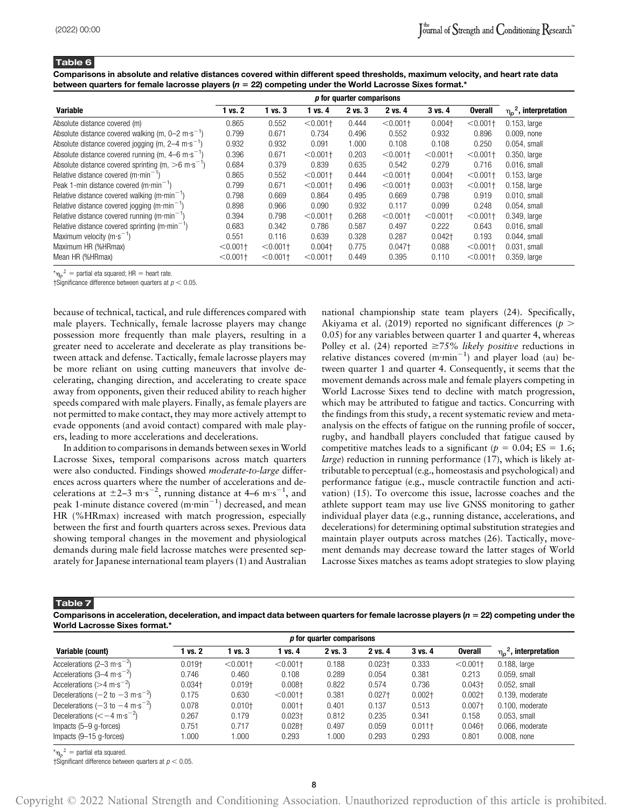Comparisons in absolute and relative distances covered within different speed thresholds, maximum velocity, and heart rate data between quarters for female lacrosse players ( $n = 22$ ) competing under the World Lacrosse Sixes format.\*

|                                                                              | p for quarter comparisons |             |             |         |             |             |                |                             |
|------------------------------------------------------------------------------|---------------------------|-------------|-------------|---------|-------------|-------------|----------------|-----------------------------|
| <b>Variable</b>                                                              | 1 vs. 2                   | $1$ vs. $3$ | 1 vs. 4     | 2 vs. 3 | 2 vs. 4     | $3$ vs. $4$ | <b>Overall</b> | $\eta_p^2$ , interpretation |
| Absolute distance covered (m)                                                | 0.865                     | 0.552       | $< 0.001$ + | 0.444   | $< 0.001$ + | $0.004 +$   | $< 0.001 +$    | $0.153$ , large             |
| Absolute distance covered walking (m, $0-2$ m·s <sup>-1</sup> )              | 0.799                     | 0.671       | 0.734       | 0.496   | 0.552       | 0.932       | 0.896          | $0.009$ , none              |
| Absolute distance covered jogging (m, $2-4 \text{ m} \cdot \text{s}^{-1}$ )  | 0.932                     | 0.932       | 0.091       | 1.000   | 0.108       | 0.108       | 0.250          | 0.054, small                |
| Absolute distance covered running (m, $4-6 \text{ m} \cdot \text{s}^{-1}$ )  | 0.396                     | 0.671       | $< 0.001$ + | 0.203   | $< 0.001 +$ | $< 0.001 +$ | $< 0.001 +$    | $0.350$ , large             |
| Absolute distance covered sprinting (m, $>6 \text{ m} \cdot \text{s}^{-1}$ ) | 0.684                     | 0.379       | 0.839       | 0.635   | 0.542       | 0.279       | 0.716          | $0.016$ , small             |
| Relative distance covered (m $\cdot$ min $^{-1}$ )                           | 0.865                     | 0.552       | $< 0.001$ + | 0.444   | $< 0.001$ + | $0.004 +$   | $< 0.001 +$    | $0.153$ , large             |
| Peak 1-min distance covered $(m \cdot min^{-1})$                             | 0.799                     | 0.671       | $< 0.001$ + | 0.496   | $< 0.001$ + | $0.003 +$   | $< 0.001 +$    | $0.158$ , large             |
| Relative distance covered walking $(m \cdot \text{min}^{-1})$                | 0.798                     | 0.669       | 0.864       | 0.495   | 0.669       | 0.798       | 0.919          | $0.010$ , small             |
| Relative distance covered jogging (m·min <sup>-1</sup> )                     | 0.898                     | 0.966       | 0.090       | 0.932   | 0.117       | 0.099       | 0.248          | 0.054, small                |
| Relative distance covered running (m·min <sup>-1</sup> )                     | 0.394                     | 0.798       | $< 0.001$ + | 0.268   | $< 0.001$ + | $< 0.001 +$ | $< 0.001 +$    | $0.349.$ large              |
| Relative distance covered sprinting (m $\cdot$ min <sup>-1</sup> )           | 0.683                     | 0.342       | 0.786       | 0.587   | 0.497       | 0.222       | 0.643          | $0.016$ , small             |
| Maximum velocity ( $m \cdot s^{-1}$ )                                        | 0.551                     | 0.116       | 0.639       | 0.328   | 0.287       | $0.042+$    | 0.193          | $0.044$ , small             |
| Maximum HR (%HRmax)                                                          | $< 0.001$ +               | $< 0.001 +$ | $0.004 +$   | 0.775   | $0.047+$    | 0.088       | $< 0.001 +$    | $0.031$ , small             |
| Mean HR (%HRmax)                                                             | $< 0.001 +$               | $< 0.001$ † | $< 0.001$ + | 0.449   | 0.395       | 0.110       | $< 0.001 +$    | $0.359$ , large             |

 ${}^{\star} \mathsf{n}_p{}^2$  = partial eta squared; HR = heart rate.

†Significance difference between quarters at  $p < 0.05$ .

because of technical, tactical, and rule differences compared with male players. Technically, female lacrosse players may change possession more frequently than male players, resulting in a greater need to accelerate and decelerate as play transitions between attack and defense. Tactically, female lacrosse players may be more reliant on using cutting maneuvers that involve decelerating, changing direction, and accelerating to create space away from opponents, given their reduced ability to reach higher speeds compared with male players. Finally, as female players are not permitted to make contact, they may more actively attempt to evade opponents (and avoid contact) compared with male players, leading to more accelerations and decelerations.

In addition to comparisons in demands between sexes in World Lacrosse Sixes, temporal comparisons across match quarters were also conducted. Findings showed moderate-to-large differences across quarters where the number of accelerations and decelerations at  $\pm$ 2–3 m·s<sup>-2</sup>, running distance at 4–6 m·s<sup>-1</sup>, and peak 1-minute distance covered (m·min<sup>-1</sup>) decreased, and mean HR (%HRmax) increased with match progression, especially between the first and fourth quarters across sexes. Previous data showing temporal changes in the movement and physiological demands during male field lacrosse matches were presented separately for Japanese international team players (1) and Australian national championship state team players (24). Specifically, Akiyama et al. (2019) reported no significant differences ( $p >$ 0.05) for any variables between quarter 1 and quarter 4, whereas Polley et al. (24) reported  $\geq 75\%$  likely positive reductions in relative distances covered  $(m{\cdot}min^{-1})$  and player load (au) between quarter 1 and quarter 4. Consequently, it seems that the movement demands across male and female players competing in World Lacrosse Sixes tend to decline with match progression, which may be attributed to fatigue and tactics. Concurring with the findings from this study, a recent systematic review and metaanalysis on the effects of fatigue on the running profile of soccer, rugby, and handball players concluded that fatigue caused by competitive matches leads to a significant ( $p = 0.04$ ; ES = 1.6; large) reduction in running performance (17), which is likely attributable to perceptual (e.g., homeostasis and psychological) and performance fatigue (e.g., muscle contractile function and activation) (15). To overcome this issue, lacrosse coaches and the athlete support team may use live GNSS monitoring to gather individual player data (e.g., running distance, accelerations, and decelerations) for determining optimal substitution strategies and maintain player outputs across matches (26). Tactically, movement demands may decrease toward the latter stages of World Lacrosse Sixes matches as teams adopt strategies to slow playing

Table 7

Comparisons in acceleration, deceleration, and impact data between quarters for female lacrosse players ( $n = 22$ ) competing under the World Lacrosse Sixes format.<sup>\*</sup>

|                                                                   | p for quarter comparisons |             |              |             |           |             |                |                             |
|-------------------------------------------------------------------|---------------------------|-------------|--------------|-------------|-----------|-------------|----------------|-----------------------------|
| Variable (count)                                                  | vs. 2                     | vs. 3       | <b>vs.</b> 4 | $2$ vs. $3$ | 2 vs. 4   | $3$ vs. $4$ | <b>Overall</b> | $\eta_p^2$ , interpretation |
| Accelerations (2–3 m·s <sup>-2</sup> )                            | $0.019 +$                 | $< 0.001 +$ | $< 0.001 +$  | 0.188       | $0.023 +$ | 0.333       | $< 0.001 +$    | $0.188$ , large             |
| Accelerations $(3-4 \text{ m} \cdot \text{s}^{-2})$               | 0.746                     | 0.460       | 0.108        | 0.289       | 0.054     | 0.381       | 0.213          | $0.059$ . small             |
| Accelerations ( $>4 \text{ m} \cdot \text{s}^{-2}$ )              | $0.034 +$                 | $0.019+$    | $0.008 +$    | 0.822       | 0.574     | 0.736       | $0.043 +$      | $0.052$ . small             |
| Decelerations $(-2 \text{ to } -3 \text{ m} \cdot \text{s}^{-2})$ | 0.175                     | 0.630       | $< 0.001 +$  | 0.381       | $0.027 +$ | $0.002 +$   | $0.002+$       | 0.139, moderate             |
| Decelerations $(-3 \text{ to } -4 \text{ m} \cdot \text{s}^{-2})$ | 0.078                     | $0.010 +$   | $0.001 +$    | 0.401       | 0.137     | 0.513       | $0.007 +$      | 0.100, moderate             |
| Decelerations $(< -4 \text{ m} \cdot \text{s}^{-2})$              | 0.267                     | 0.179       | $0.023 +$    | 0.812       | 0.235     | 0.341       | 0.158          | $0.053$ . small             |
| Impacts (5–9 g-forces)                                            | 0.751                     | 0.717       | $0.028 +$    | 0.497       | 0.059     | $0.011 +$   | $0.046+$       | 0.066, moderate             |
| Impacts $(9-15$ g-forces)                                         | .000                      | 1.000       | 0.293        | 1.000       | 0.293     | 0.293       | 0.801          | $0.008$ , none              |

 ${}^{\star} \mathsf{n}_p{}^2$  = partial eta squared.

†Significant difference between quarters at  $p < 0.05$ .

Copyright © 2022 National Strength and Conditioning Association. Unauthorized reproduction of this article is prohibited.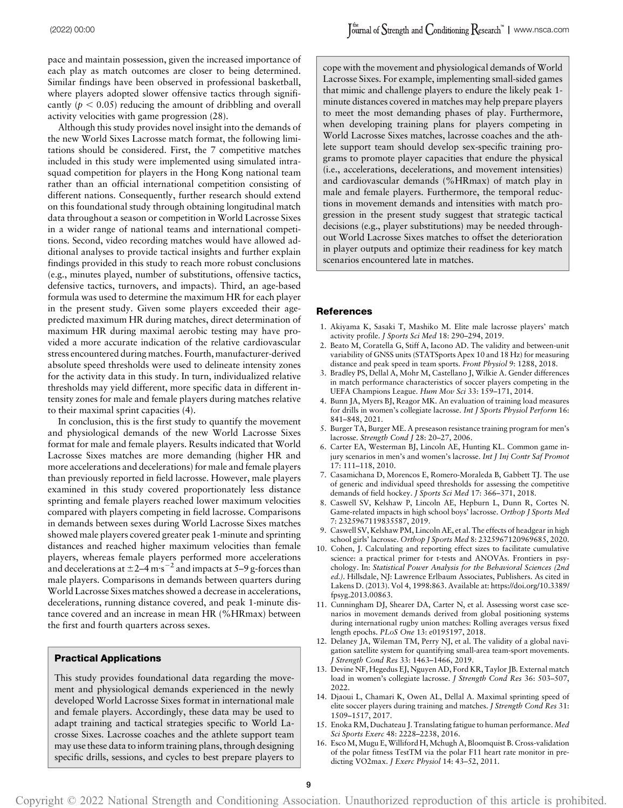pace and maintain possession, given the increased importance of each play as match outcomes are closer to being determined. Similar findings have been observed in professional basketball, where players adopted slower offensive tactics through significantly ( $p < 0.05$ ) reducing the amount of dribbling and overall activity velocities with game progression (28).

Although this study provides novel insight into the demands of the new World Sixes Lacrosse match format, the following limitations should be considered. First, the 7 competitive matches included in this study were implemented using simulated intrasquad competition for players in the Hong Kong national team rather than an official international competition consisting of different nations. Consequently, further research should extend on this foundational study through obtaining longitudinal match data throughout a season or competition in World Lacrosse Sixes in a wider range of national teams and international competitions. Second, video recording matches would have allowed additional analyses to provide tactical insights and further explain findings provided in this study to reach more robust conclusions (e.g., minutes played, number of substitutions, offensive tactics, defensive tactics, turnovers, and impacts). Third, an age-based formula was used to determine the maximum HR for each player in the present study. Given some players exceeded their agepredicted maximum HR during matches, direct determination of maximum HR during maximal aerobic testing may have provided a more accurate indication of the relative cardiovascular stress encountered during matches. Fourth, manufacturer-derived absolute speed thresholds were used to delineate intensity zones for the activity data in this study. In turn, individualized relative thresholds may yield different, more specific data in different intensity zones for male and female players during matches relative to their maximal sprint capacities (4).

In conclusion, this is the first study to quantify the movement and physiological demands of the new World Lacrosse Sixes format for male and female players. Results indicated that World Lacrosse Sixes matches are more demanding (higher HR and more accelerations and decelerations) for male and female players than previously reported in field lacrosse. However, male players examined in this study covered proportionately less distance sprinting and female players reached lower maximum velocities compared with players competing in field lacrosse. Comparisons in demands between sexes during World Lacrosse Sixes matches showed male players covered greater peak 1-minute and sprinting distances and reached higher maximum velocities than female players, whereas female players performed more accelerations and decelerations at  $\pm 2 - 4$  m·s<sup>-2</sup> and impacts at 5-9 g-forces than male players. Comparisons in demands between quarters during World Lacrosse Sixes matches showed a decrease in accelerations, decelerations, running distance covered, and peak 1-minute distance covered and an increase in mean HR (%HRmax) between the first and fourth quarters across sexes.

# Practical Applications

This study provides foundational data regarding the movement and physiological demands experienced in the newly developed World Lacrosse Sixes format in international male and female players. Accordingly, these data may be used to adapt training and tactical strategies specific to World Lacrosse Sixes. Lacrosse coaches and the athlete support team may use these data to inform training plans, through designing specific drills, sessions, and cycles to best prepare players to cope with the movement and physiological demands of World Lacrosse Sixes. For example, implementing small-sided games that mimic and challenge players to endure the likely peak 1 minute distances covered in matches may help prepare players to meet the most demanding phases of play. Furthermore, when developing training plans for players competing in World Lacrosse Sixes matches, lacrosse coaches and the athlete support team should develop sex-specific training programs to promote player capacities that endure the physical (i.e., accelerations, decelerations, and movement intensities) and cardiovascular demands (%HRmax) of match play in male and female players. Furthermore, the temporal reductions in movement demands and intensities with match progression in the present study suggest that strategic tactical decisions (e.g., player substitutions) may be needed throughout World Lacrosse Sixes matches to offset the deterioration in player outputs and optimize their readiness for key match scenarios encountered late in matches.

#### References

- 1. Akiyama K, Sasaki T, Mashiko M. Elite male lacrosse players' match activity profile. J Sports Sci Med 18: 290–294, 2019.
- 2. Beato M, Coratella G, Stiff A, Iacono AD. The validity and between-unit variability of GNSS units (STATSports Apex 10 and 18 Hz) for measuring distance and peak speed in team sports. Front Physiol 9: 1288, 2018.
- 3. Bradley PS, Dellal A, Mohr M, Castellano J, Wilkie A. Gender differences in match performance characteristics of soccer players competing in the UEFA Champions League. Hum Mov Sci 33: 159–171, 2014.
- 4. Bunn JA, Myers BJ, Reagor MK. An evaluation of training load measures for drills in women's collegiate lacrosse. Int J Sports Physiol Perform 16: 841–848, 2021.
- 5. Burger TA, Burger ME. A preseason resistance training program for men's lacrosse. Strength Cond J 28: 20–27, 2006.
- 6. Carter EA, Westerman BJ, Lincoln AE, Hunting KL. Common game injury scenarios in men's and women's lacrosse. Int J Inj Contr Saf Promot 17: 111–118, 2010.
- 7. Casamichana D, Morencos E, Romero-Moraleda B, Gabbett TJ. The use of generic and individual speed thresholds for assessing the competitive demands of field hockey. J Sports Sci Med 17: 366–371, 2018.
- 8. Caswell SV, Kelshaw P, Lincoln AE, Hepburn L, Dunn R, Cortes N. Game-related impacts in high school boys' lacrosse. Orthop J Sports Med 7: 2325967119835587, 2019.
- 9. Caswell SV, Kelshaw PM, Lincoln AE, et al. The effects of headgear in high school girls' lacrosse. Orthop J Sports Med 8: 2325967120969685, 2020.
- 10. Cohen, J. Calculating and reporting effect sizes to facilitate cumulative science: a practical primer for t-tests and ANOVAs. Frontiers in psychology. In: Statistical Power Analysis for the Behavioral Sciences (2nd ed.). Hillsdale, NJ: Lawrence Erlbaum Associates, Publishers. As cited in Lakens D. (2013). Vol 4, 1998:863. Available at: [https://doi.org/10.3389/](https://doi.org/10.3389/fpsyg.2013.00863) [fpsyg.2013.00863](https://doi.org/10.3389/fpsyg.2013.00863).
- 11. Cunningham DJ, Shearer DA, Carter N, et al. Assessing worst case scenarios in movement demands derived from global positioning systems during international rugby union matches: Rolling averages versus fixed length epochs. PLoS One 13: e0195197, 2018.
- 12. Delaney JA, Wileman TM, Perry NJ, et al. The validity of a global navigation satellite system for quantifying small-area team-sport movements. J Strength Cond Res 33: 1463–1466, 2019.
- 13. Devine NF, Hegedus EJ, Nguyen AD, Ford KR, Taylor JB. External match load in women's collegiate lacrosse. J Strength Cond Res 36: 503–507, 2022.
- 14. Djaoui L, Chamari K, Owen AL, Dellal A. Maximal sprinting speed of elite soccer players during training and matches. J Strength Cond Res 31: 1509–1517, 2017.
- 15. Enoka RM, Duchateau J. Translating fatigue to human performance. Med Sci Sports Exerc 48: 2228–2238, 2016.
- 16. Esco M, Mugu E, Williford H, Mchugh A, Bloomquist B. Cross-validation of the polar fitness TestTM via the polar F11 heart rate monitor in predicting VO2max. J Exerc Physiol 14: 43–52, 2011.